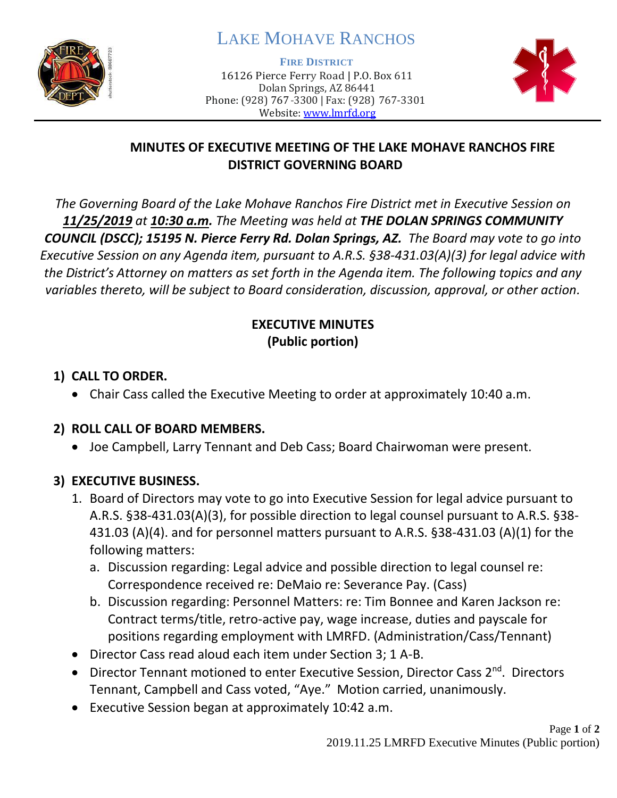

# LAKE MOHAVE RANCHOS

**FIRE DISTRICT**

16126 Pierce Ferry Road | P.O. Box 611 Dolan Springs, AZ 86441 Phone: (928) 767-3300 | Fax: (928) 767-3301 Website: [www.lmrfd.org](http://www.lmrfd.org/)



#### **MINUTES OF EXECUTIVE MEETING OF THE LAKE MOHAVE RANCHOS FIRE DISTRICT GOVERNING BOARD**

*The Governing Board of the Lake Mohave Ranchos Fire District met in Executive Session on 11/25/2019 at 10:30 a.m. The Meeting was held at THE DOLAN SPRINGS COMMUNITY COUNCIL (DSCC); 15195 N. Pierce Ferry Rd. Dolan Springs, AZ. The Board may vote to go into Executive Session on any Agenda item, pursuant to A.R.S. §38-431.03(A)(3) for legal advice with the District's Attorney on matters as set forth in the Agenda item. The following topics and any variables thereto, will be subject to Board consideration, discussion, approval, or other action.* 

#### **EXECUTIVE MINUTES (Public portion)**

### **1) CALL TO ORDER.**

• Chair Cass called the Executive Meeting to order at approximately 10:40 a.m.

# **2) ROLL CALL OF BOARD MEMBERS.**

• Joe Campbell, Larry Tennant and Deb Cass; Board Chairwoman were present.

# **3) EXECUTIVE BUSINESS.**

- 1. Board of Directors may vote to go into Executive Session for legal advice pursuant to A.R.S. §38-431.03(A)(3), for possible direction to legal counsel pursuant to A.R.S. §38- 431.03 (A)(4). and for personnel matters pursuant to A.R.S. §38-431.03 (A)(1) for the following matters:
	- a. Discussion regarding: Legal advice and possible direction to legal counsel re: Correspondence received re: DeMaio re: Severance Pay. (Cass)
	- b. Discussion regarding: Personnel Matters: re: Tim Bonnee and Karen Jackson re: Contract terms/title, retro-active pay, wage increase, duties and payscale for positions regarding employment with LMRFD. (Administration/Cass/Tennant)
- Director Cass read aloud each item under Section 3; 1 A-B.
- Director Tennant motioned to enter Executive Session, Director Cass 2<sup>nd</sup>. Directors Tennant, Campbell and Cass voted, "Aye." Motion carried, unanimously.
- Executive Session began at approximately 10:42 a.m.